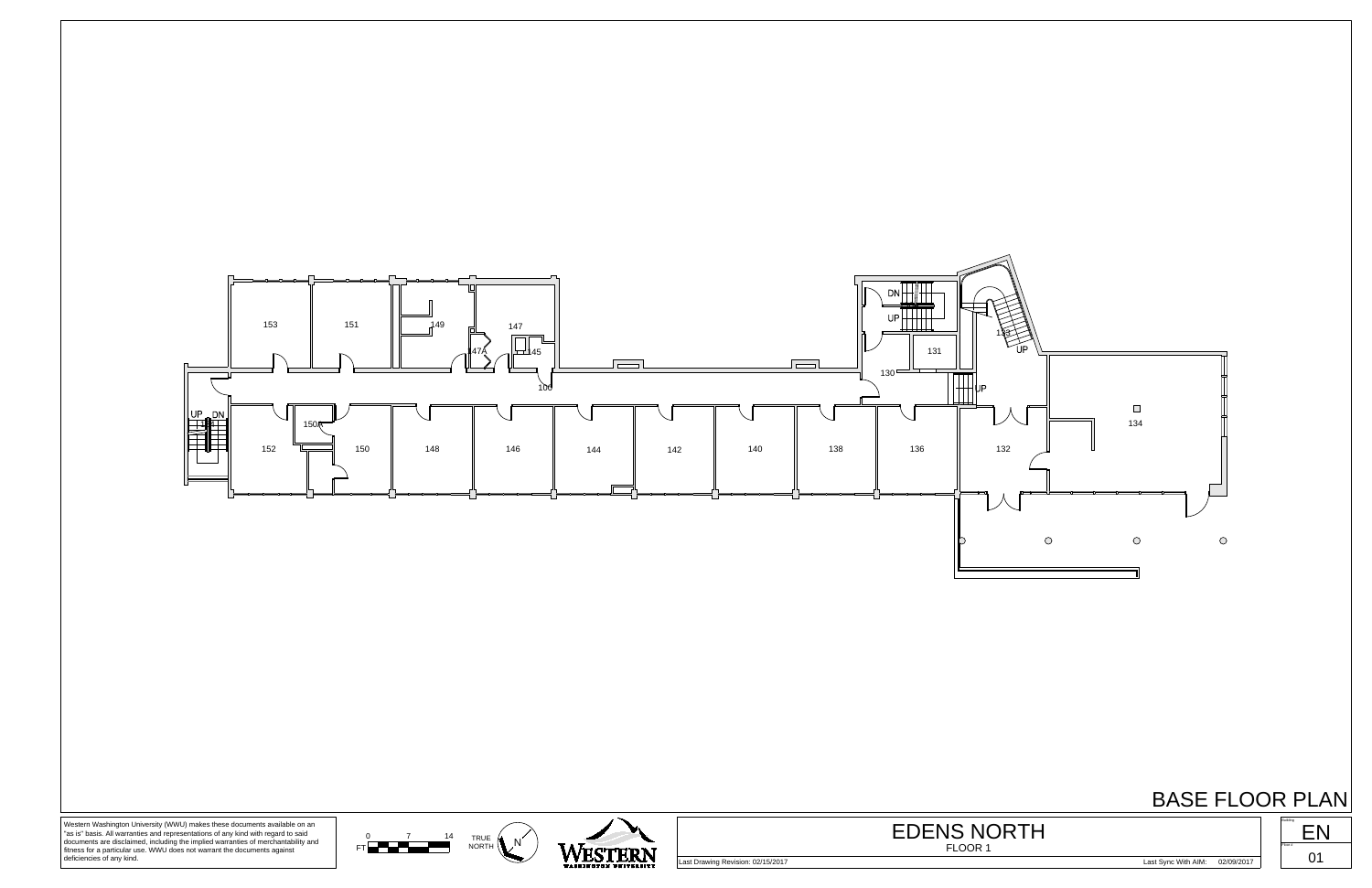### BASE FLOOR PLAN







documents are disclaimed, including the implied warranties of merchantability and fitness for a particular use. WWU does not warrant the documents against deficiencies of any kind.

Last Drawing Revision: 02/15/2017 Last Sync With AIM: 02/09/2017

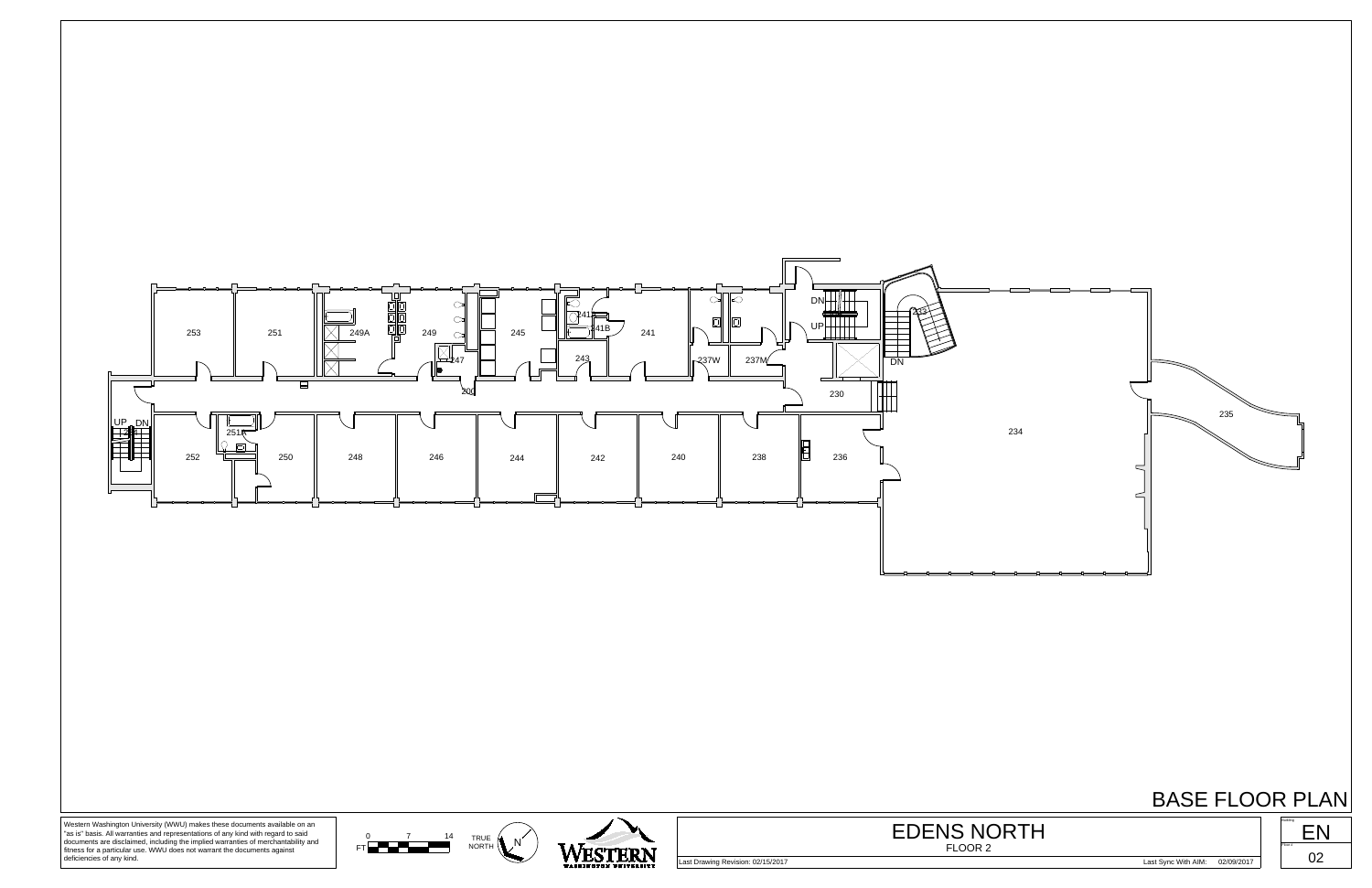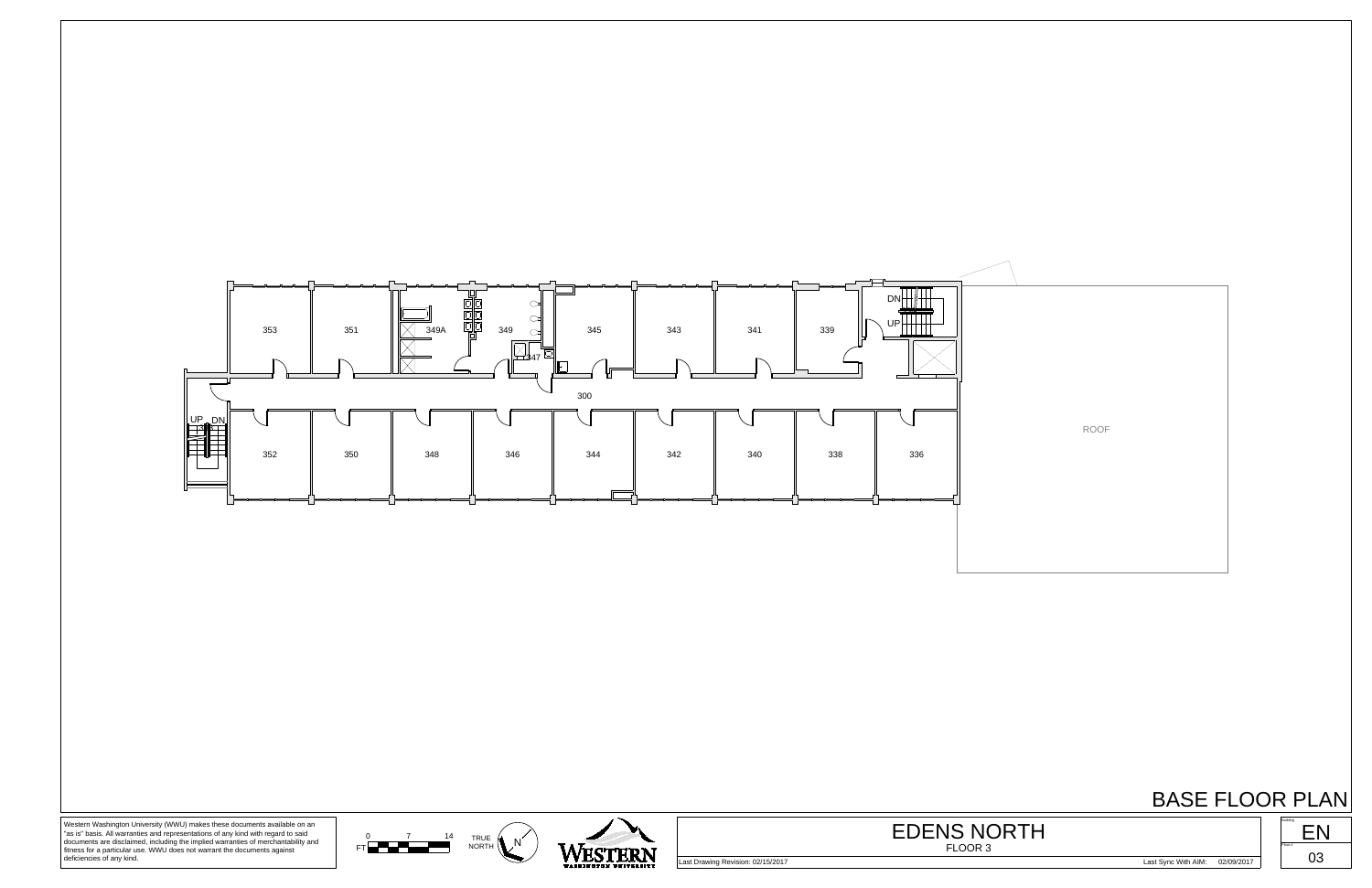ROOF



# BASE FLOOR PLAN





Western Washington University (WWU) makes these documents available on an "as is" basis. All warranties and representations of any kind with regard to said documents are disclaimed, including the implied warranties of merchantability and fitness for a particular use. WWU does not warrant the documents against deficiencies of any kind.



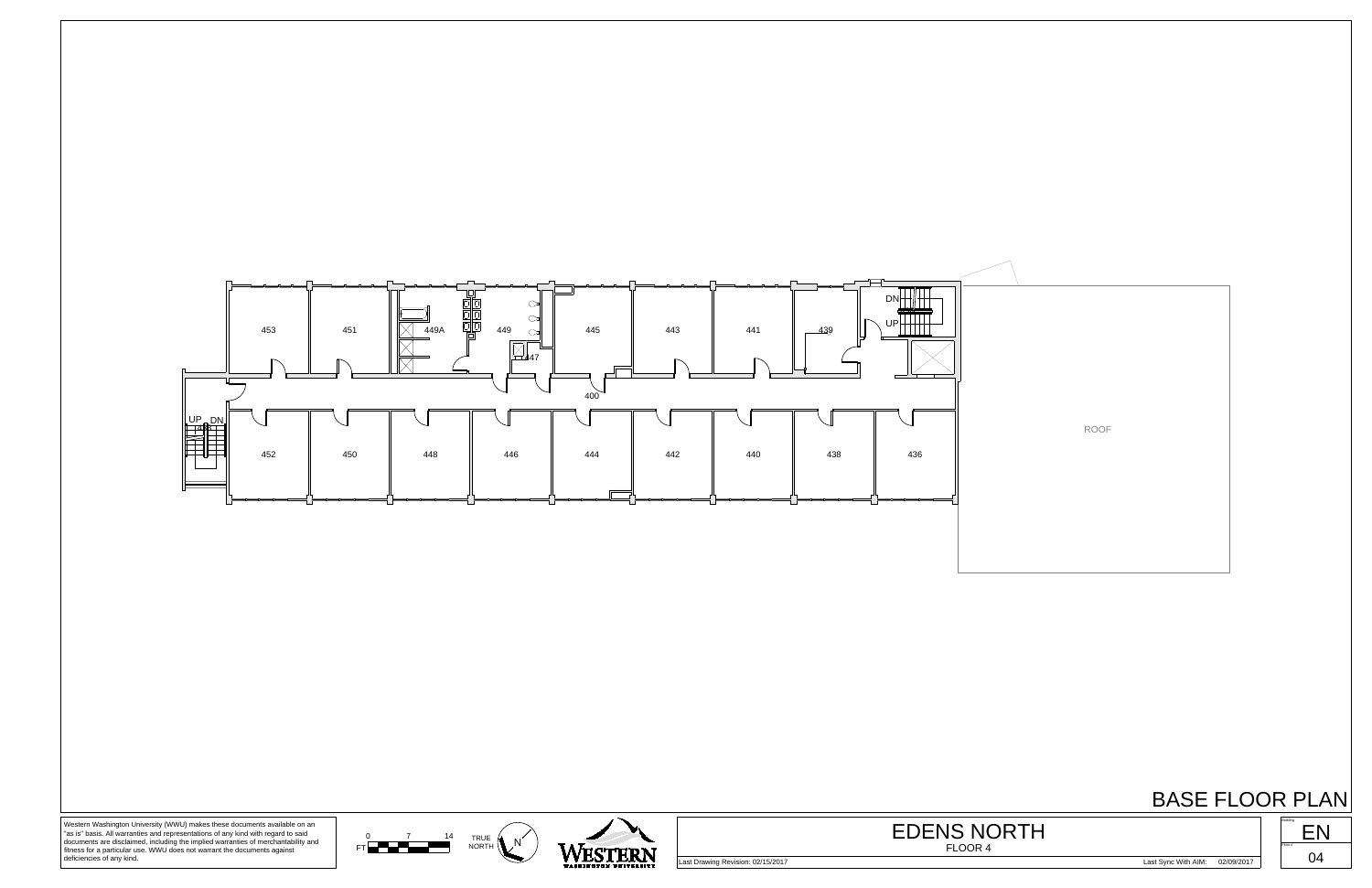

ROOF

BASE FLOOR PLAN





Western Washington University (WWU) makes these documents available on an "as is" basis. All warranties and representations of any kind with regard to said documents are disclaimed, including the implied warranties of merchantability and fitness for a particular use. WWU does not warrant the documents against deficiencies of any kind.

Last Drawing Revision: 02/15/2017 Last Sync With AIM: 02/09/2017